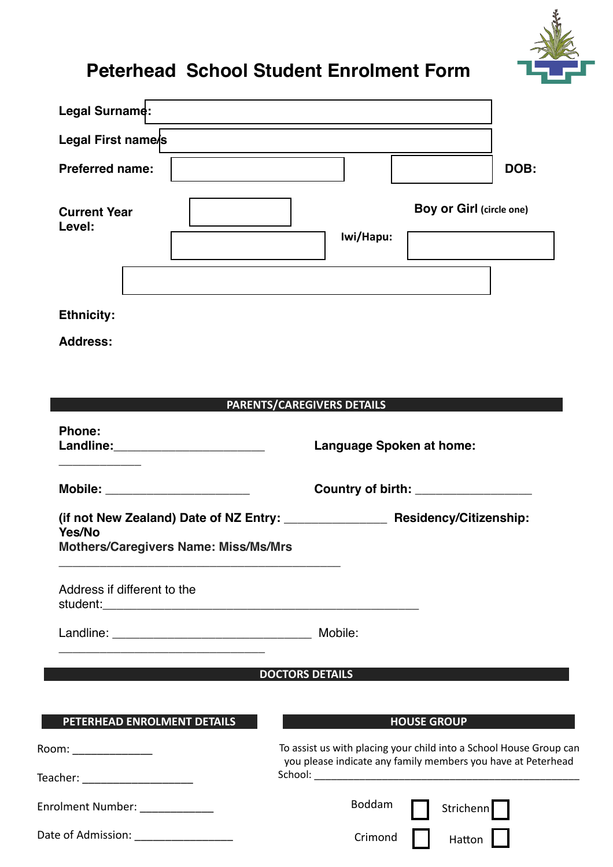

# **Peterhead School Student Enrolment Form**

| Legal Surname:                                        | <u> 1989 - Johann Stein, marwolaethau a bhann an t-Amhain an t-Amhain an t-Amhain an t-Amhain an t-Amhain an t-A</u> |                                                                                                                                    |  |
|-------------------------------------------------------|----------------------------------------------------------------------------------------------------------------------|------------------------------------------------------------------------------------------------------------------------------------|--|
| Legal First name/s                                    |                                                                                                                      |                                                                                                                                    |  |
| <b>Preferred name:</b>                                |                                                                                                                      | DOB:                                                                                                                               |  |
| <b>Current Year</b><br>Level:                         | Iwi/Hapu:                                                                                                            | <b>Boy or Girl (circle one)</b>                                                                                                    |  |
| <b>Ethnicity:</b>                                     |                                                                                                                      |                                                                                                                                    |  |
| <b>Address:</b>                                       |                                                                                                                      |                                                                                                                                    |  |
|                                                       |                                                                                                                      |                                                                                                                                    |  |
| <b>Phone:</b><br>Landline: __________________________ | PARENTS/CAREGIVERS DETAILS<br><b>Language Spoken at home:</b>                                                        |                                                                                                                                    |  |
| Mobile: _____________________                         |                                                                                                                      | Country of birth: _________________                                                                                                |  |
| Yes/No<br><b>Mothers/Caregivers Name: Miss/Ms/Mrs</b> |                                                                                                                      |                                                                                                                                    |  |
| Address if different to the                           |                                                                                                                      |                                                                                                                                    |  |
|                                                       | Mobile:                                                                                                              |                                                                                                                                    |  |
|                                                       | <b>DOCTORS DETAILS</b>                                                                                               |                                                                                                                                    |  |
|                                                       |                                                                                                                      |                                                                                                                                    |  |
| PETERHEAD ENROLMENT DETAILS                           |                                                                                                                      | <b>HOUSE GROUP</b>                                                                                                                 |  |
| Room: ________________                                |                                                                                                                      | To assist us with placing your child into a School House Group can<br>you please indicate any family members you have at Peterhead |  |
| Teacher: _______________________                      | Boddam                                                                                                               |                                                                                                                                    |  |
| Enrolment Number: ____________                        |                                                                                                                      | Strichenn                                                                                                                          |  |
| Date of Admission: ___________________                | Crimond                                                                                                              | Hatton                                                                                                                             |  |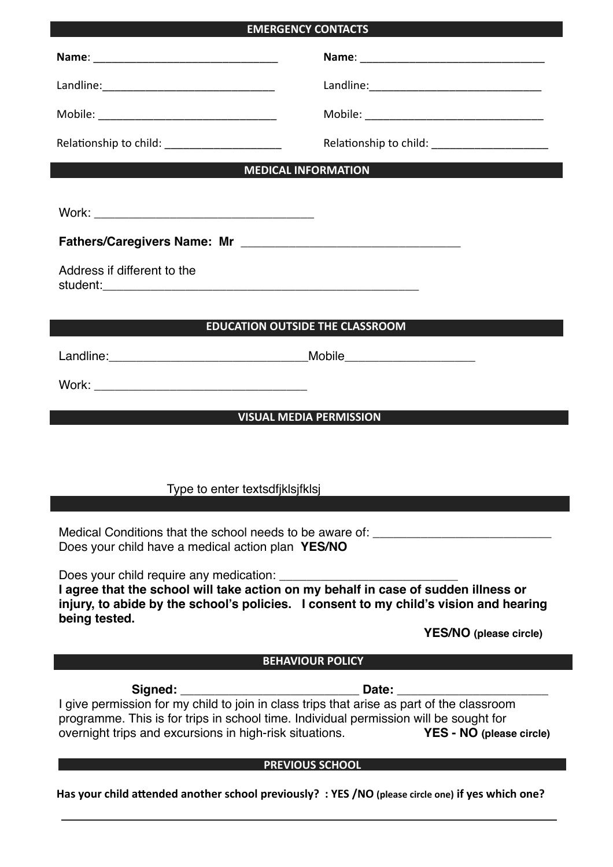# **EMERGENCY CONTACTS**

| Relationship to child: ______________________     | Relationship to child: _______________________                                                                                                                            |
|---------------------------------------------------|---------------------------------------------------------------------------------------------------------------------------------------------------------------------------|
|                                                   | <b>MEDICAL INFORMATION</b>                                                                                                                                                |
|                                                   |                                                                                                                                                                           |
|                                                   |                                                                                                                                                                           |
| Address if different to the                       |                                                                                                                                                                           |
|                                                   | <b>EDUCATION OUTSIDE THE CLASSROOM</b>                                                                                                                                    |
|                                                   |                                                                                                                                                                           |
|                                                   |                                                                                                                                                                           |
|                                                   | <b>VISUAL MEDIA PERMISSION</b>                                                                                                                                            |
|                                                   |                                                                                                                                                                           |
|                                                   |                                                                                                                                                                           |
|                                                   | Type to enter textsdfiklsifklsj                                                                                                                                           |
| Does your child have a medical action plan YES/NO | Medical Conditions that the school needs to be aware of: _______________________                                                                                          |
| being tested.                                     | injury, to abide by the school's policies. I consent to my child's vision and hearing                                                                                     |
|                                                   | <b>YES/NO</b> (please circle)                                                                                                                                             |
|                                                   | <b>BEHAVIOUR POLICY</b>                                                                                                                                                   |
|                                                   | programme. This is for trips in school time. Individual permission will be sought for<br>overnight trips and excursions in high-risk situations. YES - NO (please circle) |
|                                                   | <b>PREVIOUS SCHOOL</b>                                                                                                                                                    |
|                                                   | Has your child attended another school previously? : YES /NO (please circle one) if yes which one?                                                                        |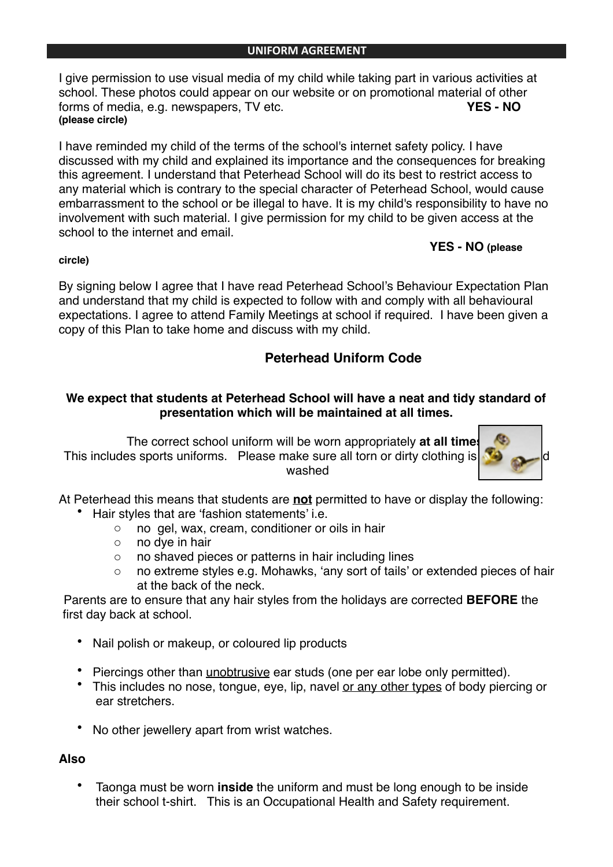I give permission to use visual media of my child while taking part in various activities at school. These photos could appear on our website or on promotional material of other<br>forms of media, e.g. newspapers. TV etc. forms of media, e.g. newspapers, TV etc. **(please circle)**

I have reminded my child of the terms of the school's internet safety policy. I have discussed with my child and explained its importance and the consequences for breaking this agreement. I understand that Peterhead School will do its best to restrict access to any material which is contrary to the special character of Peterhead School, would cause embarrassment to the school or be illegal to have. It is my child's responsibility to have no involvement with such material. I give permission for my child to be given access at the school to the internet and email

#### **circle)**

## **YES - NO (please**

By signing below I agree that I have read Peterhead School's Behaviour Expectation Plan and understand that my child is expected to follow with and comply with all behavioural expectations. I agree to attend Family Meetings at school if required. I have been given a copy of this Plan to take home and discuss with my child.

# **Peterhead Uniform Code**

## **We expect that students at Peterhead School will have a neat and tidy standard of presentation which will be maintained at all times.**

The correct school uniform will be worn appropriately **at all times**. This includes sports uniforms. Please make sure all torn or dirty clothing is washed



At Peterhead this means that students are **not** permitted to have or display the following:

- Hair styles that are 'fashion statements' i.e.
	- o no gel, wax, cream, conditioner or oils in hair
	- o no dye in hair
	- o no shaved pieces or patterns in hair including lines
	- o no extreme styles e.g. Mohawks, 'any sort of tails' or extended pieces of hair at the back of the neck.

Parents are to ensure that any hair styles from the holidays are corrected **BEFORE** the first day back at school.

- Nail polish or makeup, or coloured lip products
- Piercings other than unobtrusive ear studs (one per ear lobe only permitted).
- This includes no nose, tongue, eye, lip, navel or any other types of body piercing or ear stretchers.
- No other jewellery apart from wrist watches.

## **Also**

• Taonga must be worn **inside** the uniform and must be long enough to be inside their school t-shirt. This is an Occupational Health and Safety requirement.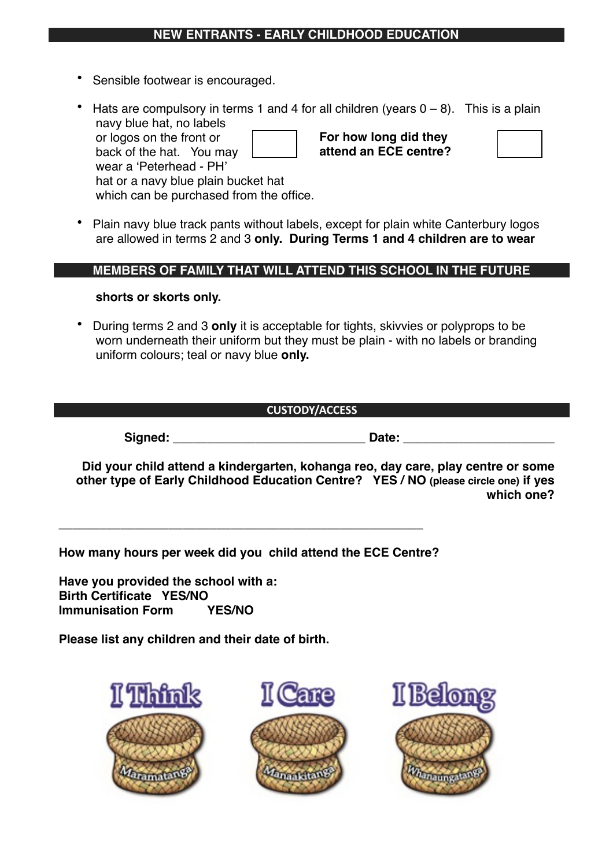## **NEW ENTRANTS - EARLY CHILDHOOD EDUCATION**

- Sensible footwear is encouraged.
- Hats are compulsory in terms 1 and 4 for all children (years  $0 8$ ). This is a plain navy blue hat, no labels or logos on the front or back of the hat. You may wear a 'Peterhead - PH' hat or a navy blue plain bucket hat which can be purchased from the office. **For how long did they attend an ECE centre?**
- Plain navy blue track pants without labels, except for plain white Canterbury logos are allowed in terms 2 and 3 **only. During Terms 1 and 4 children are to wear**

#### **MEMBERS OF FAMILY THAT WILL ATTEND THIS SCHOOL IN THE FUTURE**

#### **shorts or skorts only.**

• During terms 2 and 3 **only** it is acceptable for tights, skivvies or polyprops to be worn underneath their uniform but they must be plain - with no labels or branding uniform colours; teal or navy blue **only.**

#### **CUSTODY/ACCESS**

**Signed: \_\_\_\_\_\_\_\_\_\_\_\_\_\_\_\_\_\_\_\_\_\_\_\_\_\_\_\_ Date: \_\_\_\_\_\_\_\_\_\_\_\_\_\_\_\_\_\_\_\_\_\_**

**Did your child attend a kindergarten, kohanga reo, day care, play centre or some other type of Early Childhood Education Centre? YES / NO (please circle one) if yes which one?**

**How many hours per week did you child attend the ECE Centre?**

**\_\_\_\_\_\_\_\_\_\_\_\_\_\_\_\_\_\_\_\_\_\_\_\_\_\_\_\_\_\_\_\_\_\_\_\_\_\_\_\_\_\_\_\_\_\_\_\_\_\_\_\_\_**

**Have you provided the school with a: Birth Certificate YES/NO Immunisation Form YES/NO**

**Please list any children and their date of birth.**